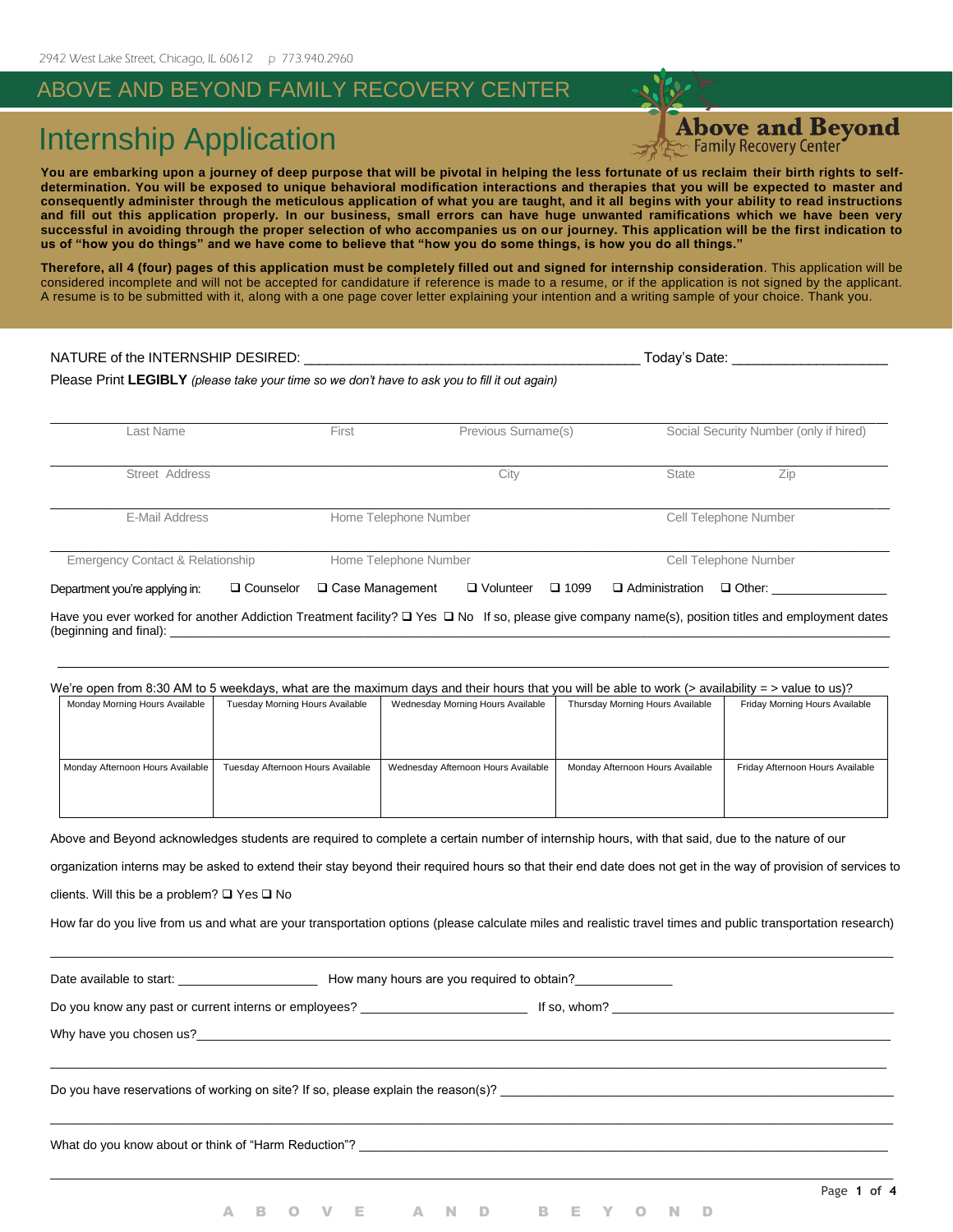### ABOVE AND BEYOND FAMILY RECOVERY CENTER

## Internship Application

**Above and Beyond** 

**You are embarking upon a journey of deep purpose that will be pivotal in helping the less fortunate of us reclaim their birth rights to selfdetermination. You will be exposed to unique behavioral modification interactions and therapies that you will be expected to master and consequently administer through the meticulous application of what you are taught, and it all begins with your ability to read instructions and fill out this application properly. In our business, small errors can have huge unwanted ramifications which we have been very successful in avoiding through the proper selection of who accompanies us on our journey. This application will be the first indication to us of "how you do things" and we have come to believe that "how you do some things, is how you do all things."**

**Therefore, all 4 (four) pages of this application must be completely filled out and signed for internship consideration**. This application will be considered incomplete and will not be accepted for candidature if reference is made to a resume, or if the application is not signed by the applicant. A resume is to be submitted with it, along with a one page cover letter explaining your intention and a writing sample of your choice. Thank you.

| NATURE of the INTERNSHIP DESIRED:<br>Please Print LEGIBLY (please take your time so we don't have to ask you to fill it out again) |                       |                                    | Today's Date:                          |                                        |  |
|------------------------------------------------------------------------------------------------------------------------------------|-----------------------|------------------------------------|----------------------------------------|----------------------------------------|--|
| Last Name                                                                                                                          | First                 | Previous Surname(s)                |                                        | Social Security Number (only if hired) |  |
| Street Address                                                                                                                     |                       | City                               | State                                  | Zip                                    |  |
| E-Mail Address                                                                                                                     | Home Telephone Number |                                    | Cell Telephone Number                  |                                        |  |
| <b>Emergency Contact &amp; Relationship</b>                                                                                        | Home Telephone Number |                                    | Cell Telephone Number                  |                                        |  |
| $\Box$ Counselor<br>Department you're applying in:                                                                                 | □ Case Management     | $\Box$ Volunteer<br>$\square$ 1099 | $\Box$ Administration<br>$\Box$ Other: |                                        |  |

Have you ever worked for another Addiction Treatment facility?  $\Box$  Yes  $\Box$  No If so, please give company name(s), position titles and employment dates (beginning and final):

|                                  |                                   | We're open from 8:30 AM to 5 weekdays, what are the maximum days and their hours that you will be able to work (> availability = > value to us)? |                                  |                                  |
|----------------------------------|-----------------------------------|--------------------------------------------------------------------------------------------------------------------------------------------------|----------------------------------|----------------------------------|
| Monday Morning Hours Available   | Tuesday Morning Hours Available   | Wednesday Morning Hours Available                                                                                                                | Thursday Morning Hours Available | Friday Morning Hours Available   |
|                                  |                                   |                                                                                                                                                  |                                  |                                  |
|                                  |                                   |                                                                                                                                                  |                                  |                                  |
|                                  |                                   |                                                                                                                                                  |                                  |                                  |
| Monday Afternoon Hours Available | Tuesday Afternoon Hours Available | Wednesday Afternoon Hours Available                                                                                                              | Monday Afternoon Hours Available | Friday Afternoon Hours Available |
|                                  |                                   |                                                                                                                                                  |                                  |                                  |
|                                  |                                   |                                                                                                                                                  |                                  |                                  |
|                                  |                                   |                                                                                                                                                  |                                  |                                  |

Above and Beyond acknowledges students are required to complete a certain number of internship hours, with that said, due to the nature of our

organization interns may be asked to extend their stay beyond their required hours so that their end date does not get in the way of provision of services to

clients. Will this be a problem?  $\Box$  Yes  $\Box$  No

How far do you live from us and what are your transportation options (please calculate miles and realistic travel times and public transportation research) \_\_\_\_\_\_\_\_\_\_\_\_\_\_\_\_\_\_\_\_\_\_\_\_\_\_\_\_\_\_\_\_\_\_\_\_\_\_\_\_\_\_\_\_\_\_\_\_\_\_\_\_\_\_\_\_\_\_\_\_\_\_\_\_\_\_\_\_\_\_\_\_\_\_\_\_\_\_\_\_\_\_\_\_\_\_\_\_\_\_\_\_\_\_\_\_\_\_\_\_\_\_\_\_\_\_\_\_\_\_\_\_\_\_\_\_\_\_\_\_\_\_

Date available to start: \_\_\_\_\_\_\_\_\_\_\_\_\_\_\_\_\_\_\_\_ How many hours are you required to obtain?\_\_\_\_\_\_\_\_\_\_\_\_\_\_ Do you know any past or current interns or employees? \_\_\_\_\_\_\_\_\_\_\_\_\_\_\_\_\_\_\_\_\_\_\_\_ If so, whom? \_\_\_\_\_\_\_\_\_\_\_\_\_\_\_\_\_\_\_\_\_\_\_\_\_\_\_\_\_\_\_\_\_\_\_\_\_\_\_\_\_ Why have you chosen us? \_\_\_\_\_\_\_\_\_\_\_\_\_\_\_\_\_\_\_\_\_\_\_\_\_\_\_\_\_\_\_\_\_\_\_\_\_\_\_\_\_\_\_\_\_\_\_\_\_\_\_\_\_\_\_\_\_\_\_\_\_\_\_\_\_\_\_\_\_\_\_\_\_\_\_\_\_\_\_\_\_\_\_\_\_\_\_\_\_\_\_\_\_\_\_\_\_\_\_\_\_\_\_\_\_\_\_\_\_\_\_\_\_\_\_\_\_\_\_\_\_ Do you have reservations of working on site? If so, please explain the reason(s)?  $\_$  , and the set of the set of the set of the set of the set of the set of the set of the set of the set of the set of the set of the set of the set of the set of the set of the set of the set of the set of the set of th What do you know about or think of "Harm Reduction"? \_\_\_\_\_\_\_\_\_\_\_\_\_\_\_\_\_\_\_\_\_\_\_\_\_\_\_\_\_\_\_\_\_\_\_\_\_\_\_\_\_\_\_\_\_\_\_\_\_\_\_\_\_\_\_\_\_\_\_\_\_\_\_\_\_\_\_\_\_\_\_\_\_\_\_\_\_\_\_\_\_\_\_\_\_\_\_\_\_\_\_\_\_\_\_\_\_\_\_\_\_\_\_\_\_\_\_\_\_\_\_\_\_\_\_\_\_\_\_\_\_\_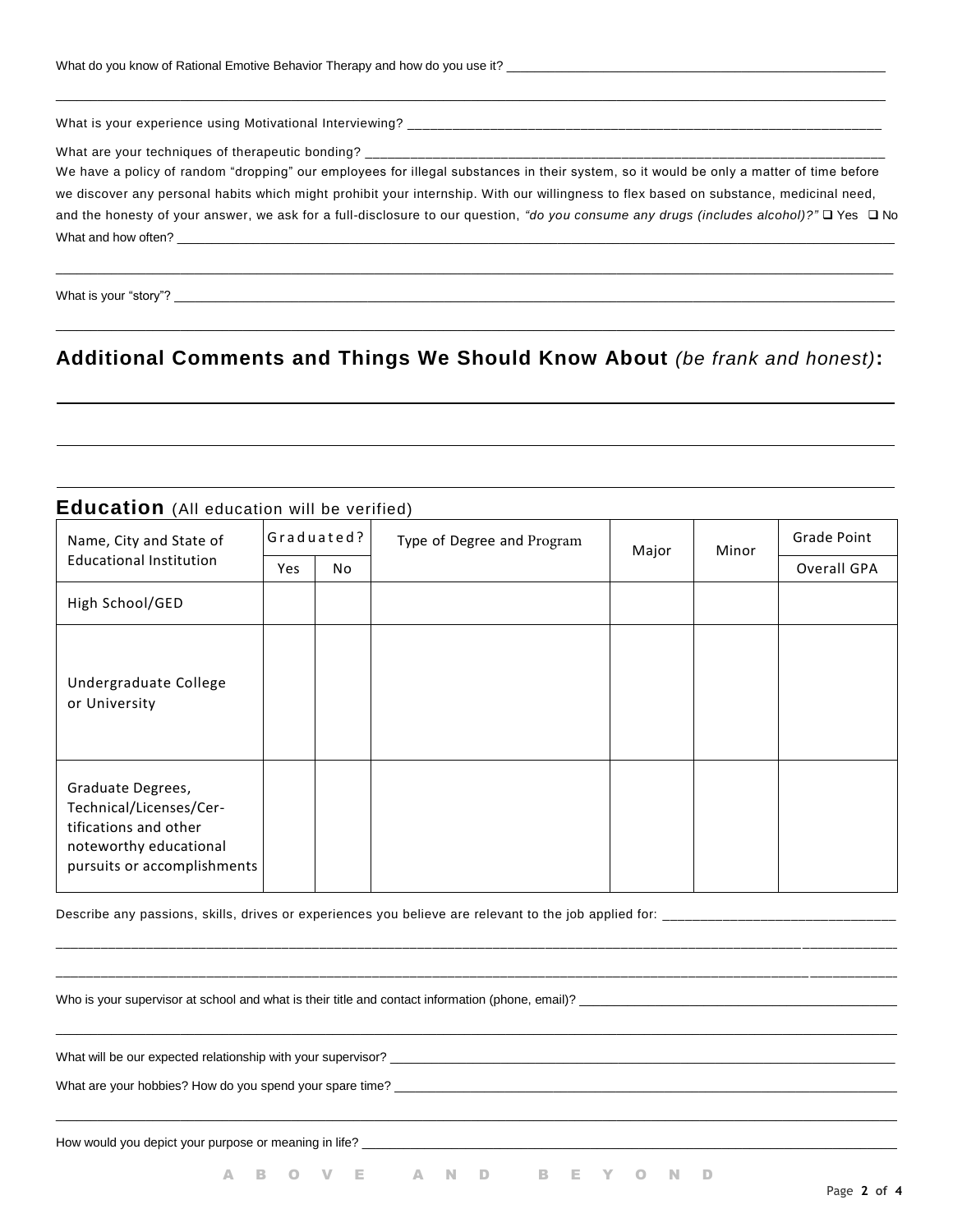| What do you know of Rational Emotive Behavior Therapy and how do you use it? |  |
|------------------------------------------------------------------------------|--|
|------------------------------------------------------------------------------|--|

What is your "story"?

| We have a policy of random "dropping" our employees for illegal substances in their system, so it would be only a matter of time before<br>we discover any personal habits which might prohibit your internship. With our willingness to flex based on substance, medicinal need, |                                                                                                                                         |  |
|-----------------------------------------------------------------------------------------------------------------------------------------------------------------------------------------------------------------------------------------------------------------------------------|-----------------------------------------------------------------------------------------------------------------------------------------|--|
|                                                                                                                                                                                                                                                                                   |                                                                                                                                         |  |
|                                                                                                                                                                                                                                                                                   |                                                                                                                                         |  |
|                                                                                                                                                                                                                                                                                   |                                                                                                                                         |  |
|                                                                                                                                                                                                                                                                                   | and the honesty of your answer, we ask for a full-disclosure to our question, "do you consume any drugs (includes alcohol)?" Q Yes Q No |  |
| What and how often? <u>The contract of the contract of the contract of the contract of the contract of the contract of the contract of the contract of the contract of the contract of the contract of the contract of the contr</u>                                              |                                                                                                                                         |  |

\_\_\_\_\_\_\_\_\_\_\_\_\_\_\_\_\_\_\_\_\_\_\_\_\_\_\_\_\_\_\_\_\_\_\_\_\_\_\_\_\_\_\_\_\_\_\_\_\_\_\_\_\_\_\_\_\_\_\_\_\_\_\_\_\_\_\_\_\_\_\_\_\_\_\_\_\_\_\_\_\_\_\_\_\_\_\_\_\_\_\_\_\_\_\_\_\_\_\_\_\_\_\_\_\_\_\_\_\_\_\_\_\_\_\_\_\_\_\_\_\_\_

# **Additional Comments and Things We Should Know About** *(be frank and honest)***:**

| Name, City and State of                                                                                                        |     | Graduated? | Type of Degree and Program | Major | Minor | Grade Point |
|--------------------------------------------------------------------------------------------------------------------------------|-----|------------|----------------------------|-------|-------|-------------|
| <b>Educational Institution</b>                                                                                                 | Yes | No.        |                            |       |       | Overall GPA |
| High School/GED                                                                                                                |     |            |                            |       |       |             |
| Undergraduate College<br>or University                                                                                         |     |            |                            |       |       |             |
| Graduate Degrees,<br>Technical/Licenses/Cer-<br>tifications and other<br>noteworthy educational<br>pursuits or accomplishments |     |            |                            |       |       |             |

\_\_\_\_\_\_\_\_\_\_\_\_\_\_\_\_\_\_\_\_\_\_\_\_\_\_\_\_\_\_\_\_\_\_\_\_\_\_\_\_\_\_\_\_\_\_\_\_\_\_\_\_\_\_\_\_\_\_\_\_\_\_\_\_\_\_\_\_\_\_\_\_\_\_\_\_\_\_\_\_\_\_\_\_\_\_\_\_\_\_\_\_\_\_\_\_\_\_\_ \_\_\_\_\_\_\_\_\_\_\_\_\_ \_\_\_\_\_\_\_\_\_\_\_\_\_\_\_\_\_\_\_\_\_\_\_\_\_\_\_\_\_\_\_\_\_\_\_\_\_\_\_\_\_\_\_\_\_\_\_\_\_\_\_\_\_\_\_\_\_\_\_\_\_\_\_\_\_\_\_\_\_\_\_\_\_\_\_\_\_\_\_\_\_\_\_\_\_\_\_\_\_\_\_\_\_\_\_\_\_\_\_\_ \_\_\_\_\_\_\_\_\_\_\_\_

 $\_$  ,  $\_$  ,  $\_$  ,  $\_$  ,  $\_$  ,  $\_$  ,  $\_$  ,  $\_$  ,  $\_$  ,  $\_$  ,  $\_$  ,  $\_$  ,  $\_$  ,  $\_$  ,  $\_$  ,  $\_$  ,  $\_$  ,  $\_$  ,  $\_$  ,  $\_$  ,  $\_$  ,  $\_$  ,  $\_$  ,  $\_$  ,  $\_$  ,  $\_$  ,  $\_$  ,  $\_$  ,  $\_$  ,  $\_$  ,  $\_$  ,  $\_$  ,  $\_$  ,  $\_$  ,  $\_$  ,  $\_$  ,  $\_$  ,

 $\_$  ,  $\_$  ,  $\_$  ,  $\_$  ,  $\_$  ,  $\_$  ,  $\_$  ,  $\_$  ,  $\_$  ,  $\_$  ,  $\_$  ,  $\_$  ,  $\_$  ,  $\_$  ,  $\_$  ,  $\_$  ,  $\_$  ,  $\_$  ,  $\_$  ,  $\_$  ,  $\_$  ,  $\_$  ,  $\_$  ,  $\_$  ,  $\_$  ,  $\_$  ,  $\_$  ,  $\_$  ,  $\_$  ,  $\_$  ,  $\_$  ,  $\_$  ,  $\_$  ,  $\_$  ,  $\_$  ,  $\_$  ,  $\_$  ,

Describe any passions, skills, drives or experiences you believe are relevant to the job applied for: \_\_\_\_\_\_\_\_\_\_\_\_\_\_\_\_\_\_\_\_\_\_\_\_\_\_\_\_\_\_\_

Who is your supervisor at school and what is their title and contact information (phone, email)? \_\_\_\_\_\_\_\_

What will be our expected relationship with your supervisor? \_\_\_\_\_\_\_\_\_\_\_\_\_\_\_\_\_\_\_\_\_\_\_\_\_\_\_\_\_\_\_\_\_\_\_\_\_\_\_\_\_\_\_\_\_\_\_\_\_\_\_\_\_\_\_\_\_\_\_\_\_\_\_\_\_\_\_\_\_\_\_\_\_

What are your hobbies? How do you spend your spare time? \_\_

How would you depict your purpose or meaning in life? \_\_\_\_\_\_\_\_\_\_\_\_\_\_\_\_\_\_\_\_\_\_\_\_\_\_

A B O V E A N D B E Y O N D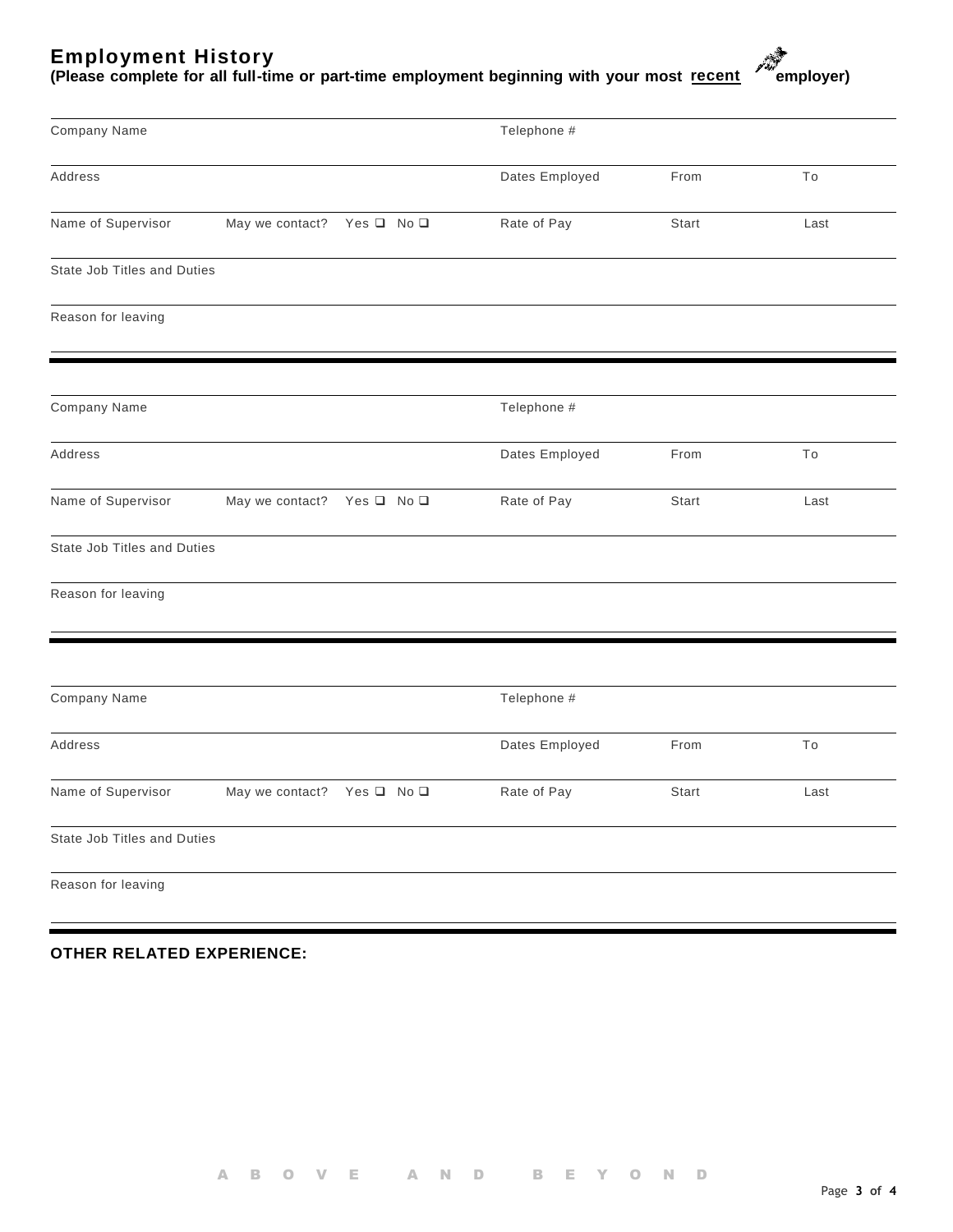#### **Employment History**

(Please complete for all full-time or part-time employment beginning with your most recent streployer)



| Company Name                |                            |                          | Telephone #    |       |      |
|-----------------------------|----------------------------|--------------------------|----------------|-------|------|
| Address                     |                            |                          | Dates Employed | From  | To   |
| Name of Supervisor          | May we contact?            | Yes <b>□</b> No <b>□</b> | Rate of Pay    | Start | Last |
| State Job Titles and Duties |                            |                          |                |       |      |
| Reason for leaving          |                            |                          |                |       |      |
| Company Name                |                            |                          | Telephone #    |       |      |
| Address                     |                            |                          | Dates Employed | From  | To   |
| Name of Supervisor          | May we contact?            | Yes □ No □               | Rate of Pay    | Start | Last |
| State Job Titles and Duties |                            |                          |                |       |      |
| Reason for leaving          |                            |                          |                |       |      |
| Company Name                |                            |                          | Telephone #    |       |      |
| Address                     |                            |                          | Dates Employed | From  | To   |
|                             |                            |                          |                |       |      |
| Name of Supervisor          | May we contact? Yes Q No Q |                          | Rate of Pay    | Start | Last |
| State Job Titles and Duties |                            |                          |                |       |      |
| Reason for leaving          |                            |                          |                |       |      |

#### **OTHER RELATED EXPERIENCE:**